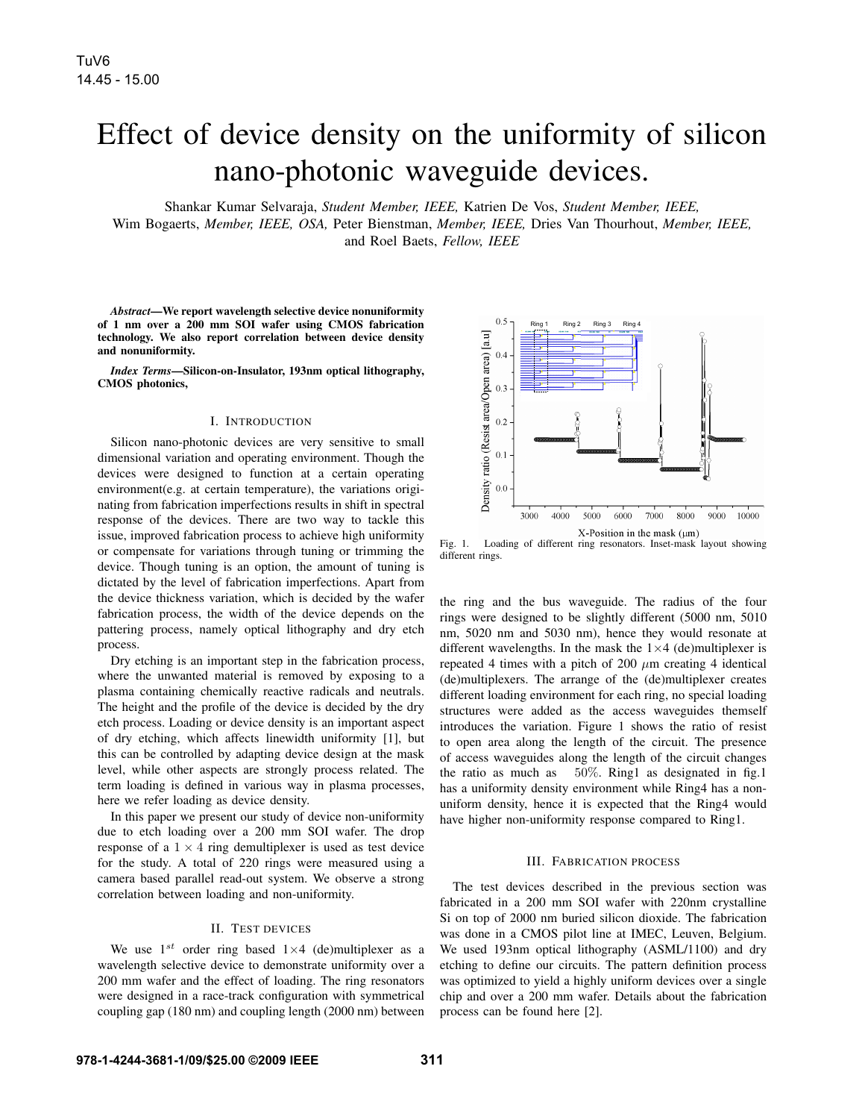# Effect of device density on the uniformity of silicon nano-photonic waveguide devices.

Shankar Kumar Selvaraja, *Student Member, IEEE,* Katrien De Vos, *Student Member, IEEE,*

Wim Bogaerts, *Member, IEEE, OSA,* Peter Bienstman, *Member, IEEE,* Dries Van Thourhout, *Member, IEEE,* and Roel Baets, *Fellow, IEEE*

*Abstract*—We report wavelength selective device nonuniformity of 1 nm over a 200 mm SOI wafer using CMOS fabrication technology. We also report correlation between device density and nonuniformity.

*Index Terms*—Silicon-on-Insulator, 193nm optical lithography, CMOS photonics,

#### I. INTRODUCTION

Silicon nano-photonic devices are very sensitive to small dimensional variation and operating environment. Though the devices were designed to function at a certain operating environment(e.g. at certain temperature), the variations originating from fabrication imperfections results in shift in spectral response of the devices. There are two way to tackle this issue, improved fabrication process to achieve high uniformity or compensate for variations through tuning or trimming the device. Though tuning is an option, the amount of tuning is dictated by the level of fabrication imperfections. Apart from the device thickness variation, which is decided by the wafer fabrication process, the width of the device depends on the pattering process, namely optical lithography and dry etch process.

Dry etching is an important step in the fabrication process, where the unwanted material is removed by exposing to a plasma containing chemically reactive radicals and neutrals. The height and the profile of the device is decided by the dry etch process. Loading or device density is an important aspect of dry etching, which affects linewidth uniformity [1], but this can be controlled by adapting device design at the mask level, while other aspects are strongly process related. The term loading is defined in various way in plasma processes, here we refer loading as device density.

In this paper we present our study of device non-uniformity due to etch loading over a 200 mm SOI wafer. The drop response of a  $1 \times 4$  ring demultiplexer is used as test device for the study. A total of 220 rings were measured using a camera based parallel read-out system. We observe a strong correlation between loading and non-uniformity.

### II. TEST DEVICES

We use  $1^{st}$  order ring based  $1\times4$  (de)multiplexer as a wavelength selective device to demonstrate uniformity over a 200 mm wafer and the effect of loading. The ring resonators were designed in a race-track configuration with symmetrical coupling gap (180 nm) and coupling length (2000 nm) between



Fig. 1. Loading of different ring resonators. Inset-mask layout showing different rings.

the ring and the bus waveguide. The radius of the four rings were designed to be slightly different (5000 nm, 5010 nm, 5020 nm and 5030 nm), hence they would resonate at different wavelengths. In the mask the  $1\times4$  (de)multiplexer is repeated 4 times with a pitch of 200  $\mu$ m creating 4 identical (de)multiplexers. The arrange of the (de)multiplexer creates different loading environment for each ring, no special loading structures were added as the access waveguides themself introduces the variation. Figure 1 shows the ratio of resist to open area along the length of the circuit. The presence of access waveguides along the length of the circuit changes the ratio as much as 50%. Ring1 as designated in fig.1 has a uniformity density environment while Ring4 has a nonuniform density, hence it is expected that the Ring4 would have higher non-uniformity response compared to Ring1.

## III. FABRICATION PROCESS

The test devices described in the previous section was fabricated in a 200 mm SOI wafer with 220nm crystalline Si on top of 2000 nm buried silicon dioxide. The fabrication was done in a CMOS pilot line at IMEC, Leuven, Belgium. We used 193nm optical lithography (ASML/1100) and dry etching to define our circuits. The pattern definition process was optimized to yield a highly uniform devices over a single chip and over a 200 mm wafer. Details about the fabrication process can be found here [2].